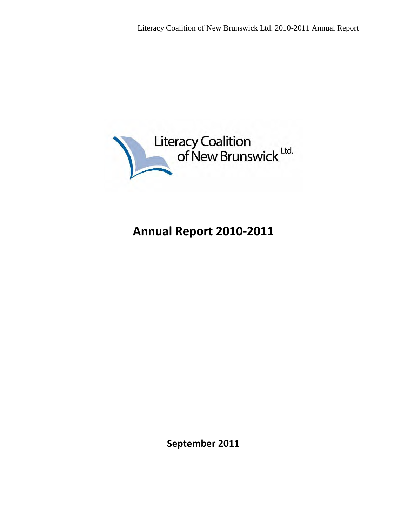

# **Annual Report 2010-2011**

**September 2011**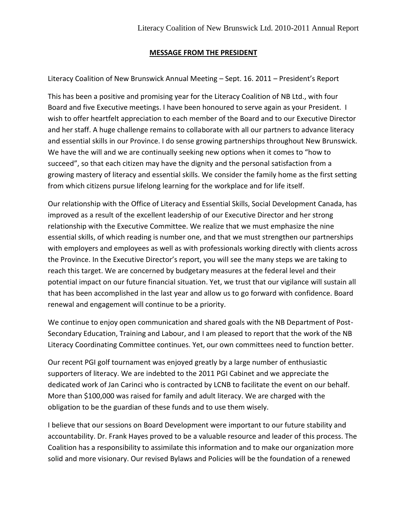#### **MESSAGE FROM THE PRESIDENT**

Literacy Coalition of New Brunswick Annual Meeting – Sept. 16. 2011 – President's Report

This has been a positive and promising year for the Literacy Coalition of NB Ltd., with four Board and five Executive meetings. I have been honoured to serve again as your President. I wish to offer heartfelt appreciation to each member of the Board and to our Executive Director and her staff. A huge challenge remains to collaborate with all our partners to advance literacy and essential skills in our Province. I do sense growing partnerships throughout New Brunswick. We have the will and we are continually seeking new options when it comes to "how to succeed", so that each citizen may have the dignity and the personal satisfaction from a growing mastery of literacy and essential skills. We consider the family home as the first setting from which citizens pursue lifelong learning for the workplace and for life itself.

Our relationship with the Office of Literacy and Essential Skills, Social Development Canada, has improved as a result of the excellent leadership of our Executive Director and her strong relationship with the Executive Committee. We realize that we must emphasize the nine essential skills, of which reading is number one, and that we must strengthen our partnerships with employers and employees as well as with professionals working directly with clients across the Province. In the Executive Director's report, you will see the many steps we are taking to reach this target. We are concerned by budgetary measures at the federal level and their potential impact on our future financial situation. Yet, we trust that our vigilance will sustain all that has been accomplished in the last year and allow us to go forward with confidence. Board renewal and engagement will continue to be a priority.

We continue to enjoy open communication and shared goals with the NB Department of Post-Secondary Education, Training and Labour, and I am pleased to report that the work of the NB Literacy Coordinating Committee continues. Yet, our own committees need to function better.

Our recent PGI golf tournament was enjoyed greatly by a large number of enthusiastic supporters of literacy. We are indebted to the 2011 PGI Cabinet and we appreciate the dedicated work of Jan Carinci who is contracted by LCNB to facilitate the event on our behalf. More than \$100,000 was raised for family and adult literacy. We are charged with the obligation to be the guardian of these funds and to use them wisely.

I believe that our sessions on Board Development were important to our future stability and accountability. Dr. Frank Hayes proved to be a valuable resource and leader of this process. The Coalition has a responsibility to assimilate this information and to make our organization more solid and more visionary. Our revised Bylaws and Policies will be the foundation of a renewed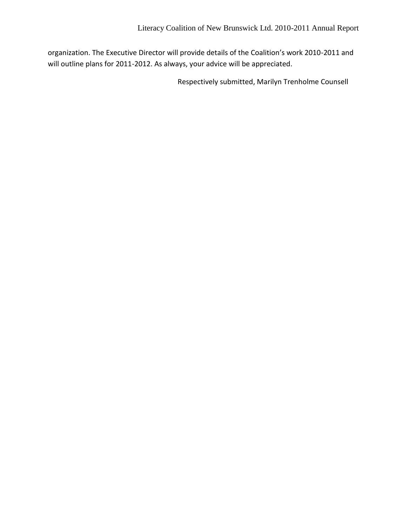organization. The Executive Director will provide details of the Coalition's work 2010-2011 and will outline plans for 2011-2012. As always, your advice will be appreciated.

Respectively submitted, Marilyn Trenholme Counsell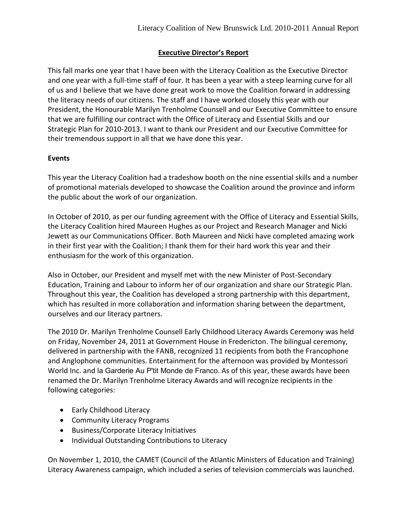## **Executive Director's Report**

This fall marks one year that I have been with the Literacy Coalition as the Executive Director and one year with a full-time staff of four. It has been a year with a steep learning curve for all of us and I believe that we have done great work to move the Coalition forward in addressing the literacy needs of our citizens. The staff and I have worked closely this year with our President, the Honourable Marilyn Trenholme Counsell and our Executive Committee to ensure that we are fulfilling our contract with the Office of Literacy and Essential Skills and our Strategic Plan for 2010-2013. I want to thank our President and our Executive Committee for their tremendous support in all that we have done this year.

### **Events**

This year the Literacy Coalition had a tradeshow booth on the nine essential skills and a number of promotional materials developed to showcase the Coalition around the province and inform the public about the work of our organization.

In October of 2010, as per our funding agreement with the Office of Literacy and Essential Skills, the Literacy Coalition hired Maureen Hughes as our Project and Research Manager and Nicki Jewett as our Communications Officer. Both Maureen and Nicki have completed amazing work in their first year with the Coalition; I thank them for their hard work this year and their enthusiasm for the work of this organization.

Also in October, our President and myself met with the new Minister of Post-Secondary Education, Training and Labour to inform her of our organization and share our Strategic Plan. Throughout this year, the Coalition has developed a strong partnership with this department, which has resulted in more collaboration and information sharing between the department, ourselves and our literacy partners.

The 2010 Dr. Marilyn Trenholme Counsell Early Childhood Literacy Awards Ceremony was held on Friday, November 24, 2011 at Government House in Fredericton. The bilingual ceremony, delivered in partnership with the FANB, recognized 11 recipients from both the Francophone and Anglophone communities. Entertainment for the afternoon was provided by Montessori World Inc. and la Garderie Au P'tit Monde de Franco. As of this year, these awards have been renamed the Dr. Marilyn Trenholme Literacy Awards and will recognize recipients in the following categories:

- Early Childhood Literacy
- Community Literacy Programs
- **•** Business/Corporate Literacy Initiatives
- Individual Outstanding Contributions to Literacy

On November 1, 2010, the CAMET (Council of the Atlantic Ministers of Education and Training) Literacy Awareness campaign, which included a series of television commercials was launched.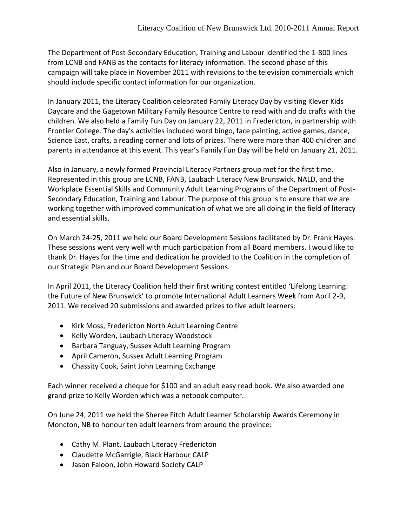The Department of Post-Secondary Education, Training and Labour identified the 1-800 lines from LCNB and FANB as the contacts for literacy information. The second phase of this campaign will take place in November 2011 with revisions to the television commercials which should include specific contact information for our organization.

In January 2011, the Literacy Coalition celebrated Family Literacy Day by visiting Klever Kids Daycare and the Gagetown Military Family Resource Centre to read with and do crafts with the children. We also held a Family Fun Day on January 22, 2011 in Fredericton, in partnership with Frontier College. The day's activities included word bingo, face painting, active games, dance, Science East, crafts, a reading corner and lots of prizes. There were more than 400 children and parents in attendance at this event. This year's Family Fun Day will be held on January 21, 2011.

Also in January, a newly formed Provincial Literacy Partners group met for the first time. Represented in this group are LCNB, FANB, Laubach Literacy New Brunswick, NALD, and the Workplace Essential Skills and Community Adult Learning Programs of the Department of Post-Secondary Education, Training and Labour. The purpose of this group is to ensure that we are working together with improved communication of what we are all doing in the field of literacy and essential skills.

On March 24-25, 2011 we held our Board Development Sessions facilitated by Dr. Frank Hayes. These sessions went very well with much participation from all Board members. I would like to thank Dr. Hayes for the time and dedication he provided to the Coalition in the completion of our Strategic Plan and our Board Development Sessions.

In April 2011, the Literacy Coalition held their first writing contest entitled 'Lifelong Learning: the Future of New Brunswick' to promote International Adult Learners Week from April 2-9, 2011. We received 20 submissions and awarded prizes to five adult learners:

- Kirk Moss, Fredericton North Adult Learning Centre
- Kelly Worden, Laubach Literacy Woodstock
- Barbara Tanguay, Sussex Adult Learning Program
- April Cameron, Sussex Adult Learning Program
- Chassity Cook, Saint John Learning Exchange

Each winner received a cheque for \$100 and an adult easy read book. We also awarded one grand prize to Kelly Worden which was a netbook computer.

On June 24, 2011 we held the Sheree Fitch Adult Learner Scholarship Awards Ceremony in Moncton, NB to honour ten adult learners from around the province:

- Cathy M. Plant, Laubach Literacy Fredericton
- Claudette McGarrigle, Black Harbour CALP
- Jason Faloon, John Howard Society CALP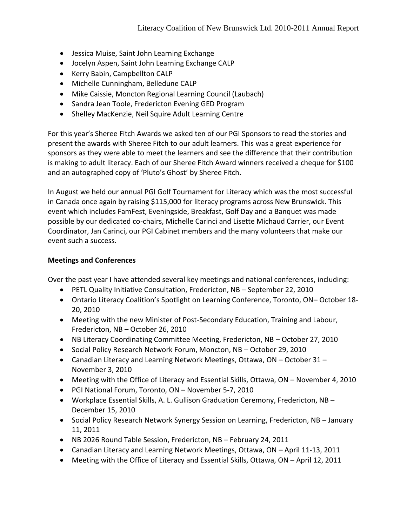- Jessica Muise, Saint John Learning Exchange
- Jocelyn Aspen, Saint John Learning Exchange CALP
- Kerry Babin, Campbellton CALP
- Michelle Cunningham, Belledune CALP
- Mike Caissie, Moncton Regional Learning Council (Laubach)
- Sandra Jean Toole, Fredericton Evening GED Program
- Shelley MacKenzie, Neil Squire Adult Learning Centre

For this year's Sheree Fitch Awards we asked ten of our PGI Sponsors to read the stories and present the awards with Sheree Fitch to our adult learners. This was a great experience for sponsors as they were able to meet the learners and see the difference that their contribution is making to adult literacy. Each of our Sheree Fitch Award winners received a cheque for \$100 and an autographed copy of 'Pluto's Ghost' by Sheree Fitch.

In August we held our annual PGI Golf Tournament for Literacy which was the most successful in Canada once again by raising \$115,000 for literacy programs across New Brunswick. This event which includes FamFest, Eveningside, Breakfast, Golf Day and a Banquet was made possible by our dedicated co-chairs, Michelle Carinci and Lisette Michaud Carrier, our Event Coordinator, Jan Carinci, our PGI Cabinet members and the many volunteers that make our event such a success.

#### **Meetings and Conferences**

Over the past year I have attended several key meetings and national conferences, including:

- PETL Quality Initiative Consultation, Fredericton, NB September 22, 2010
- Ontario Literacy Coalition's Spotlight on Learning Conference, Toronto, ON– October 18- 20, 2010
- Meeting with the new Minister of Post-Secondary Education, Training and Labour, Fredericton, NB – October 26, 2010
- NB Literacy Coordinating Committee Meeting, Fredericton, NB October 27, 2010
- Social Policy Research Network Forum, Moncton, NB October 29, 2010
- Canadian Literacy and Learning Network Meetings, Ottawa, ON October 31 November 3, 2010
- Meeting with the Office of Literacy and Essential Skills, Ottawa, ON November 4, 2010
- PGI National Forum, Toronto, ON November 5-7, 2010
- Workplace Essential Skills, A. L. Gullison Graduation Ceremony, Fredericton, NB December 15, 2010
- Social Policy Research Network Synergy Session on Learning, Fredericton, NB January 11, 2011
- NB 2026 Round Table Session, Fredericton, NB February 24, 2011
- Canadian Literacy and Learning Network Meetings, Ottawa, ON April 11-13, 2011
- Meeting with the Office of Literacy and Essential Skills, Ottawa, ON April 12, 2011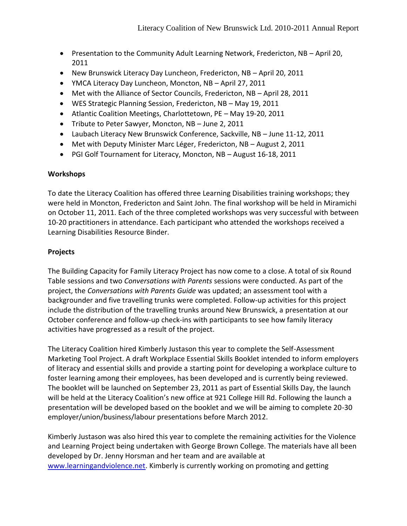- Presentation to the Community Adult Learning Network, Fredericton, NB April 20, 2011
- New Brunswick Literacy Day Luncheon, Fredericton, NB April 20, 2011
- YMCA Literacy Day Luncheon, Moncton, NB April 27, 2011
- Met with the Alliance of Sector Councils, Fredericton, NB April 28, 2011
- WES Strategic Planning Session, Fredericton, NB May 19, 2011
- Atlantic Coalition Meetings, Charlottetown, PE May 19-20, 2011
- Tribute to Peter Sawyer, Moncton, NB June 2, 2011
- Laubach Literacy New Brunswick Conference, Sackville, NB June 11-12, 2011
- Met with Deputy Minister Marc Léger, Fredericton, NB August 2, 2011
- PGI Golf Tournament for Literacy, Moncton, NB August 16-18, 2011

#### **Workshops**

To date the Literacy Coalition has offered three Learning Disabilities training workshops; they were held in Moncton, Fredericton and Saint John. The final workshop will be held in Miramichi on October 11, 2011. Each of the three completed workshops was very successful with between 10-20 practitioners in attendance. Each participant who attended the workshops received a Learning Disabilities Resource Binder.

#### **Projects**

The Building Capacity for Family Literacy Project has now come to a close. A total of six Round Table sessions and two *Conversations with Parents* sessions were conducted. As part of the project, the *Conversations with Parents Guide* was updated; an assessment tool with a backgrounder and five travelling trunks were completed. Follow-up activities for this project include the distribution of the travelling trunks around New Brunswick, a presentation at our October conference and follow-up check-ins with participants to see how family literacy activities have progressed as a result of the project.

The Literacy Coalition hired Kimberly Justason this year to complete the Self-Assessment Marketing Tool Project. A draft Workplace Essential Skills Booklet intended to inform employers of literacy and essential skills and provide a starting point for developing a workplace culture to foster learning among their employees, has been developed and is currently being reviewed. The booklet will be launched on September 23, 2011 as part of Essential Skills Day, the launch will be held at the Literacy Coalition's new office at 921 College Hill Rd. Following the launch a presentation will be developed based on the booklet and we will be aiming to complete 20-30 employer/union/business/labour presentations before March 2012.

Kimberly Justason was also hired this year to complete the remaining activities for the Violence and Learning Project being undertaken with George Brown College. The materials have all been developed by Dr. Jenny Horsman and her team and are available at [www.learningandviolence.net.](http://www.learningandviolence.net/) Kimberly is currently working on promoting and getting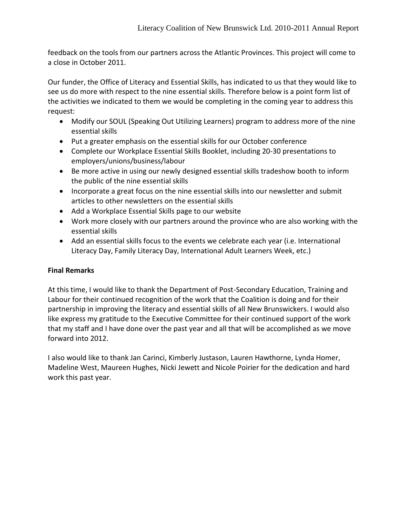feedback on the tools from our partners across the Atlantic Provinces. This project will come to a close in October 2011.

Our funder, the Office of Literacy and Essential Skills, has indicated to us that they would like to see us do more with respect to the nine essential skills. Therefore below is a point form list of the activities we indicated to them we would be completing in the coming year to address this request:

- Modify our SOUL (Speaking Out Utilizing Learners) program to address more of the nine essential skills
- Put a greater emphasis on the essential skills for our October conference
- Complete our Workplace Essential Skills Booklet, including 20-30 presentations to employers/unions/business/labour
- Be more active in using our newly designed essential skills tradeshow booth to inform the public of the nine essential skills
- Incorporate a great focus on the nine essential skills into our newsletter and submit articles to other newsletters on the essential skills
- Add a Workplace Essential Skills page to our website
- Work more closely with our partners around the province who are also working with the essential skills
- Add an essential skills focus to the events we celebrate each year (i.e. International Literacy Day, Family Literacy Day, International Adult Learners Week, etc.)

#### **Final Remarks**

At this time, I would like to thank the Department of Post-Secondary Education, Training and Labour for their continued recognition of the work that the Coalition is doing and for their partnership in improving the literacy and essential skills of all New Brunswickers. I would also like express my gratitude to the Executive Committee for their continued support of the work that my staff and I have done over the past year and all that will be accomplished as we move forward into 2012.

I also would like to thank Jan Carinci, Kimberly Justason, Lauren Hawthorne, Lynda Homer, Madeline West, Maureen Hughes, Nicki Jewett and Nicole Poirier for the dedication and hard work this past year.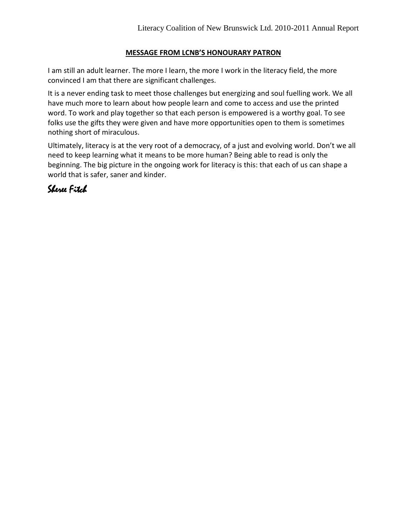## **MESSAGE FROM LCNB'S HONOURARY PATRON**

I am still an adult learner. The more I learn, the more I work in the literacy field, the more convinced I am that there are significant challenges.

It is a never ending task to meet those challenges but energizing and soul fuelling work. We all have much more to learn about how people learn and come to access and use the printed word. To work and play together so that each person is empowered is a worthy goal. To see folks use the gifts they were given and have more opportunities open to them is sometimes nothing short of miraculous.

Ultimately, literacy is at the very root of a democracy, of a just and evolving world. Don't we all need to keep learning what it means to be more human? Being able to read is only the beginning. The big picture in the ongoing work for literacy is this: that each of us can shape a world that is safer, saner and kinder.

## Sheree Fitch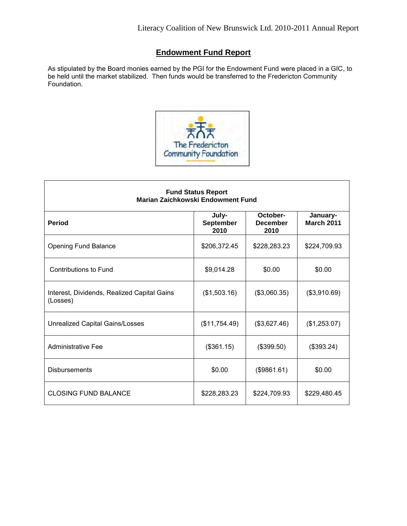## **Endowment Fund Report**

As stipulated by the Board monies earned by the PGI for the Endowment Fund were placed in a GIC, to be held until the market stabilized. Then funds would be transferred to the Fredericton Community Foundation.



| <b>Fund Status Report</b><br>Marian Zaichkowski Endowment Fund |                            |                                     |                               |
|----------------------------------------------------------------|----------------------------|-------------------------------------|-------------------------------|
| <b>Period</b>                                                  | July-<br>September<br>2010 | October-<br><b>December</b><br>2010 | January-<br><b>March 2011</b> |
| <b>Opening Fund Balance</b>                                    | \$206,372.45               | \$228,283.23                        | \$224,709.93                  |
| <b>Contributions to Fund</b>                                   | \$9,014.28                 | \$0.00                              | \$0.00                        |
| Interest, Dividends, Realized Capital Gains<br>(Losses)        | (\$1,503.16)               | (\$3,060.35)                        | (\$3,910.69)                  |
| Unrealized Capital Gains/Losses                                | (\$11,754.49)              | (\$3,627.46)                        | (\$1,253.07)                  |
| <b>Administrative Fee</b>                                      | (\$361.15)                 | (\$399.50)                          | (\$393.24)                    |
| <b>Disbursements</b>                                           | \$0.00                     | (\$9861.61)                         | \$0.00                        |
| CLOSING FUND BALANCE                                           | \$228,283.23               | \$224,709.93                        | \$229,480.45                  |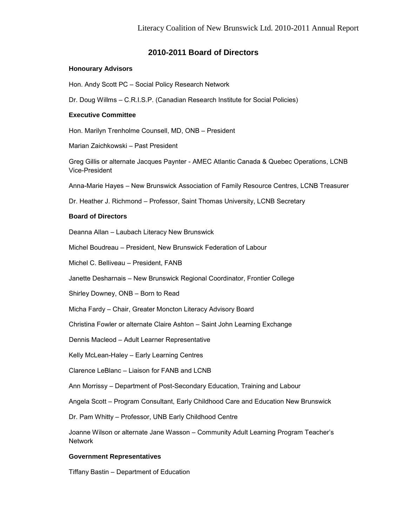#### **2010-2011 Board of Directors**

#### **Honourary Advisors**

Hon. Andy Scott PC – Social Policy Research Network

Dr. Doug Willms – C.R.I.S.P. (Canadian Research Institute for Social Policies)

#### **Executive Committee**

Hon. Marilyn Trenholme Counsell, MD, ONB – President

Marian Zaichkowski – Past President

Greg Gillis or alternate Jacques Paynter - AMEC Atlantic Canada & Quebec Operations, LCNB Vice-President

Anna-Marie Hayes – New Brunswick Association of Family Resource Centres, LCNB Treasurer

Dr. Heather J. Richmond – Professor, Saint Thomas University, LCNB Secretary

#### **Board of Directors**

Deanna Allan – Laubach Literacy New Brunswick

Michel Boudreau – President, New Brunswick Federation of Labour

Michel C. Belliveau – President, FANB

Janette Desharnais – New Brunswick Regional Coordinator, Frontier College

Shirley Downey, ONB – Born to Read

Micha Fardy – Chair, Greater Moncton Literacy Advisory Board

Christina Fowler or alternate Claire Ashton – Saint John Learning Exchange

Dennis Macleod – Adult Learner Representative

Kelly McLean-Haley – Early Learning Centres

Clarence LeBlanc – Liaison for FANB and LCNB

Ann Morrissy – Department of Post-Secondary Education, Training and Labour

Angela Scott – Program Consultant, Early Childhood Care and Education New Brunswick

Dr. Pam Whitty – Professor, UNB Early Childhood Centre

Joanne Wilson or alternate Jane Wasson – Community Adult Learning Program Teacher's Network

#### **Government Representatives**

Tiffany Bastin – Department of Education